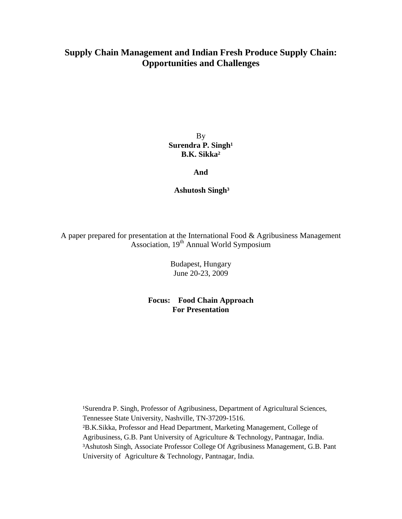# **Supply Chain Management and Indian Fresh Produce Supply Chain: Opportunities and Challenges**

By **Surendra P. Singh<sup>1</sup> B.K. Sikka²** 

**And** 

 **Ashutosh Singh³** 

A paper prepared for presentation at the International Food & Agribusiness Management Association, 19<sup>th</sup> Annual World Symposium

> Budapest, Hungary June 20-23, 2009

**Focus: Food Chain Approach For Presentation** 

<sup>1</sup>Surendra P. Singh, Professor of Agribusiness, Department of Agricultural Sciences, Tennessee State University, Nashville, TN-37209-1516. ²B.K.Sikka, Professor and Head Department, Marketing Management, College of Agribusiness, G.B. Pant University of Agriculture & Technology, Pantnagar, India. ³Ashutosh Singh, Associate Professor College Of Agribusiness Management, G.B. Pant University of Agriculture & Technology, Pantnagar, India.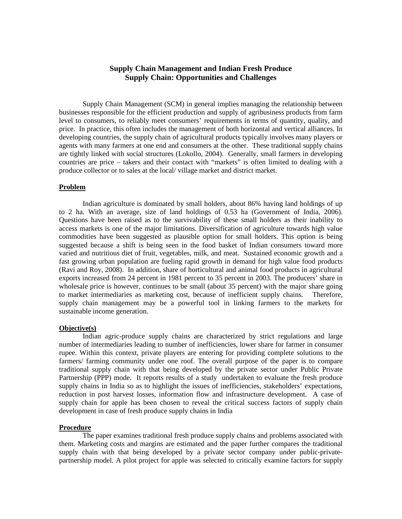## **Supply Chain Management and Indian Fresh Produce Supply Chain: Opportunities and Challenges**

Supply Chain Management (SCM) in general implies managing the relationship between businesses responsible for the efficient production and supply of agribusiness products from farm level to consumers, to reliably meet consumers' requirements in terms of quantity, quality, and price. In practice, this often includes the management of both horizontal and vertical alliances. In developing countries, the supply chain of agricultural products typically involves many players or agents with many farmers at one end and consumers at the other. These traditional supply chains are tightly linked with social structures (Lokollo, 2004). Generally, small farmers in developing countries are price – takers and their contact with "markets" is often limited to dealing with a produce collector or to sales at the local/ village market and district market.

#### **Problem**

 Indian agriculture is dominated by small holders, about 86% having land holdings of up to 2 ha. With an average, size of land holdings of 0.53 ha (Government of India, 2006). Questions have been raised as to the survivability of these small holders as their inability to access markets is one of the major limitations. Diversification of agriculture towards high value commodities have been suggested as plausible option for small holders. This option is being suggested because a shift is being seen in the food basket of Indian consumers toward more varied and nutritious diet of fruit, vegetables, milk, and meat. Sustained economic growth and a fast growing urban population are fueling rapid growth in demand for high value food products (Ravi and Roy, 2008). In addition, share of horticultural and animal food products in agricultural exports increased from 24 percent in 1981 percent to 35 percent in 2003. The producers' share in wholesale price is however, continues to be small (about 35 percent) with the major share going to market intermediaries as marketing cost, because of inefficient supply chains. Therefore, supply chain management may be a powerful tool in linking farmers to the markets for sustainable income generation.

#### **Objective(s)**

 Indian agric-produce supply chains are characterized by strict regulations and large number of intermediaries leading to number of inefficiencies, lower share for farmer in consumer rupee. Within this context, private players are entering for providing complete solutions to the farmers/ farming community under one roof. The overall purpose of the paper is to compare traditional supply chain with that being developed by the private sector under Public Private Partnership (PPP) mode. It reports results of a study undertaken to evaluate the fresh produce supply chains in India so as to highlight the issues of inefficiencies, stakeholders' expectations, reduction in post harvest losses, information flow and infrastructure development. A case of supply chain for apple has been chosen to reveal the critical success factors of supply chain development in case of fresh produce supply chains in India

#### **Procedure**

 The paper examines traditional fresh produce supply chains and problems associated with them. Marketing costs and margins are estimated and the paper further compares the traditional supply chain with that being developed by a private sector company under public-privatepartnership model. A pilot project for apple was selected to critically examine factors for supply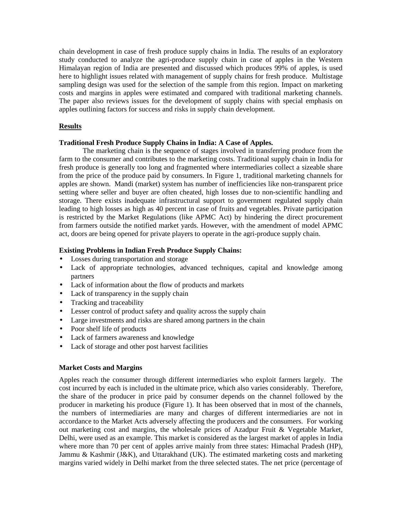chain development in case of fresh produce supply chains in India. The results of an exploratory study conducted to analyze the agri-produce supply chain in case of apples in the Western Himalayan region of India are presented and discussed which produces 99% of apples, is used here to highlight issues related with management of supply chains for fresh produce. Multistage sampling design was used for the selection of the sample from this region. Impact on marketing costs and margins in apples were estimated and compared with traditional marketing channels. The paper also reviews issues for the development of supply chains with special emphasis on apples outlining factors for success and risks in supply chain development.

#### **Results**

#### **Traditional Fresh Produce Supply Chains in India: A Case of Apples.**

 The marketing chain is the sequence of stages involved in transferring produce from the farm to the consumer and contributes to the marketing costs. Traditional supply chain in India for fresh produce is generally too long and fragmented where intermediaries collect a sizeable share from the price of the produce paid by consumers. In Figure 1, traditional marketing channels for apples are shown. Mandi (market) system has number of inefficiencies like non-transparent price setting where seller and buyer are often cheated, high losses due to non-scientific handling and storage. There exists inadequate infrastructural support to government regulated supply chain leading to high losses as high as 40 percent in case of fruits and vegetables. Private participation is restricted by the Market Regulations (like APMC Act) by hindering the direct procurement from farmers outside the notified market yards. However, with the amendment of model APMC act, doors are being opened for private players to operate in the agri-produce supply chain.

#### **Existing Problems in Indian Fresh Produce Supply Chains:**

- Losses during transportation and storage
- Lack of appropriate technologies, advanced techniques, capital and knowledge among partners
- Lack of information about the flow of products and markets
- Lack of transparency in the supply chain
- Tracking and traceability
- Lesser control of product safety and quality across the supply chain
- Large investments and risks are shared among partners in the chain
- Poor shelf life of products
- Lack of farmers awareness and knowledge
- Lack of storage and other post harvest facilities

#### **Market Costs and Margins**

Apples reach the consumer through different intermediaries who exploit farmers largely. The cost incurred by each is included in the ultimate price, which also varies considerably. Therefore, the share of the producer in price paid by consumer depends on the channel followed by the producer in marketing his produce (Figure 1). It has been observed that in most of the channels, the numbers of intermediaries are many and charges of different intermediaries are not in accordance to the Market Acts adversely affecting the producers and the consumers. For working out marketing cost and margins, the wholesale prices of Azadpur Fruit & Vegetable Market, Delhi, were used as an example. This market is considered as the largest market of apples in India where more than 70 per cent of apples arrive mainly from three states: Himachal Pradesh (HP), Jammu & Kashmir (J&K), and Uttarakhand (UK). The estimated marketing costs and marketing margins varied widely in Delhi market from the three selected states. The net price (percentage of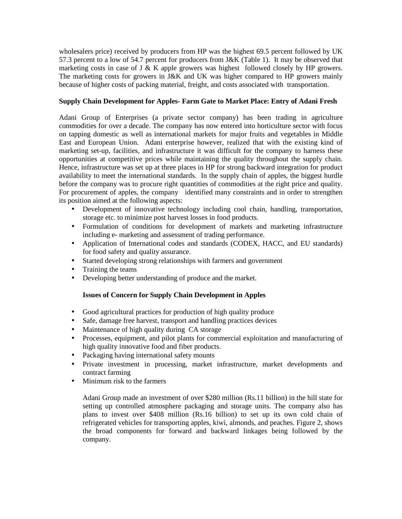wholesalers price) received by producers from HP was the highest 69.5 percent followed by UK 57.3 percent to a low of 54.7 percent for producers from J&K (Table 1). It may be observed that marketing costs in case of J & K apple growers was highest followed closely by HP growers. The marketing costs for growers in J&K and UK was higher compared to HP growers mainly because of higher costs of packing material, freight, and costs associated with transportation.

### **Supply Chain Development for Apples- Farm Gate to Market Place: Entry of Adani Fresh**

Adani Group of Enterprises (a private sector company) has been trading in agriculture commodities for over a decade. The company has now entered into horticulture sector with focus on tapping domestic as well as international markets for major fruits and vegetables in Middle East and European Union. Adani enterprise however, realized that with the existing kind of marketing set-up, facilities, and infrastructure it was difficult for the company to harness these opportunities at competitive prices while maintaining the quality throughout the supply chain. Hence, infrastructure was set up at three places in HP for strong backward integration for product availability to meet the international standards. In the supply chain of apples, the biggest hurdle before the company was to procure right quantities of commodities at the right price and quality. For procurement of apples, the company identified many constraints and in order to strengthen its position aimed at the following aspects:

- Development of innovative technology including cool chain, handling, transportation, storage etc. to minimize post harvest losses in food products.
- Formulation of conditions for development of markets and marketing infrastructure including e- marketing and assessment of trading performance.
- Application of International codes and standards (CODEX, HACC, and EU standards) for food safety and quality assurance.
- Started developing strong relationships with farmers and government
- Training the teams
- Developing better understanding of produce and the market.

### **Issues of Concern for Supply Chain Development in Apples**

- Good agricultural practices for production of high quality produce
- Safe, damage free harvest, transport and handling practices devices
- Maintenance of high quality during CA storage
- Processes, equipment, and pilot plants for commercial exploitation and manufacturing of high quality innovative food and fiber products.
- Packaging having international safety mounts
- Private investment in processing, market infrastructure, market developments and contract farming
- Minimum risk to the farmers

Adani Group made an investment of over \$280 million (Rs.11 billion) in the hill state for setting up controlled atmosphere packaging and storage units. The company also has plans to invest over \$408 million (Rs.16 billion) to set up its own cold chain of refrigerated vehicles for transporting apples, kiwi, almonds, and peaches. Figure 2, shows the broad components for forward and backward linkages being followed by the company.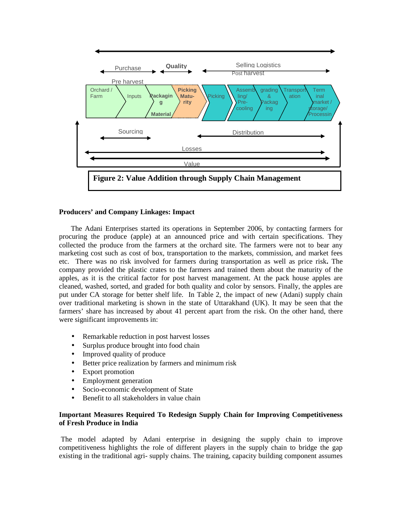

#### **Producers' and Company Linkages: Impact**

The Adani Enterprises started its operations in September 2006, by contacting farmers for procuring the produce (apple) at an announced price and with certain specifications. They collected the produce from the farmers at the orchard site. The farmers were not to bear any marketing cost such as cost of box, transportation to the markets, commission, and market fees etc. There was no risk involved for farmers during transportation as well as price risk**.** The company provided the plastic crates to the farmers and trained them about the maturity of the apples, as it is the critical factor for post harvest management. At the pack house apples are cleaned, washed, sorted, and graded for both quality and color by sensors. Finally, the apples are put under CA storage for better shelf life. In Table 2, the impact of new (Adani) supply chain over traditional marketing is shown in the state of Uttarakhand (UK). It may be seen that the farmers' share has increased by about 41 percent apart from the risk. On the other hand, there were significant improvements in:

- Remarkable reduction in post harvest losses
- Surplus produce brought into food chain
- Improved quality of produce
- Better price realization by farmers and minimum risk
- Export promotion
- Employment generation
- Socio-economic development of State
- Benefit to all stakeholders in value chain

### **Important Measures Required To Redesign Supply Chain for Improving Competitiveness of Fresh Produce in India**

 The model adapted by Adani enterprise in designing the supply chain to improve competitiveness highlights the role of different players in the supply chain to bridge the gap existing in the traditional agri- supply chains. The training, capacity building component assumes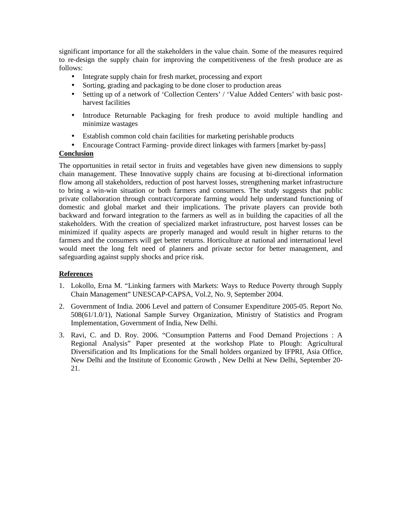significant importance for all the stakeholders in the value chain. Some of the measures required to re-design the supply chain for improving the competitiveness of the fresh produce are as follows:

- Integrate supply chain for fresh market, processing and export
- Sorting, grading and packaging to be done closer to production areas
- Setting up of a network of 'Collection Centers' / 'Value Added Centers' with basic postharvest facilities
- Introduce Returnable Packaging for fresh produce to avoid multiple handling and minimize wastages
- Establish common cold chain facilities for marketing perishable products
- Encourage Contract Farming- provide direct linkages with farmers [market by-pass]

### **Conclusion**

The opportunities in retail sector in fruits and vegetables have given new dimensions to supply chain management. These Innovative supply chains are focusing at bi-directional information flow among all stakeholders, reduction of post harvest losses, strengthening market infrastructure to bring a win-win situation or both farmers and consumers. The study suggests that public private collaboration through contract/corporate farming would help understand functioning of domestic and global market and their implications. The private players can provide both backward and forward integration to the farmers as well as in building the capacities of all the stakeholders. With the creation of specialized market infrastructure, post harvest losses can be minimized if quality aspects are properly managed and would result in higher returns to the farmers and the consumers will get better returns. Horticulture at national and international level would meet the long felt need of planners and private sector for better management, and safeguarding against supply shocks and price risk.

### **References**

- 1. Lokollo, Erna M. "Linking farmers with Markets: Ways to Reduce Poverty through Supply Chain Management" UNESCAP-CAPSA, Vol.2, No. 9, September 2004.
- 2. Government of India. 2006 Level and pattern of Consumer Expenditure 2005-05. Report No. 508(61/1.0/1), National Sample Survey Organization, Ministry of Statistics and Program Implementation, Government of India, New Delhi.
- 3. Ravi, C. and D. Roy. 2006. "Consumption Patterns and Food Demand Projections : A Regional Analysis" Paper presented at the workshop Plate to Plough: Agricultural Diversification and Its Implications for the Small holders organized by IFPRI, Asia Office, New Delhi and the Institute of Economic Growth , New Delhi at New Delhi, September 20- 21.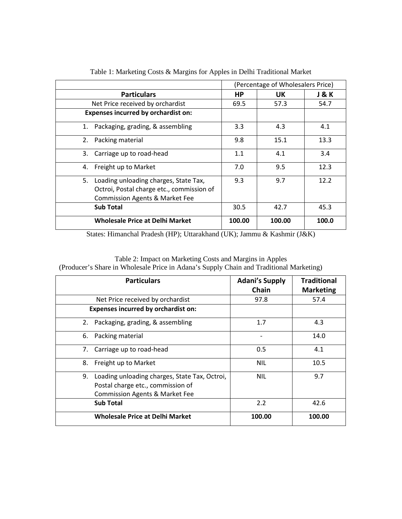|                                            | (Percentage of Wholesalers Price) |        |       |
|--------------------------------------------|-----------------------------------|--------|-------|
| <b>Particulars</b>                         | НP                                | UK.    | J&K   |
| Net Price received by orchardist           | 69.5                              | 57.3   | 54.7  |
| <b>Expenses incurred by orchardist on:</b> |                                   |        |       |
| 1. Packaging, grading, & assembling        | 3.3                               | 4.3    | 4.1   |
| 2. Packing material                        | 9.8                               | 15.1   | 13.3  |
| 3.<br>Carriage up to road-head             | 1.1                               | 4.1    | 3.4   |
| 4. Freight up to Market                    | 7.0                               | 9.5    | 12.3  |
| 5. Loading unloading charges, State Tax,   | 9.3                               | 9.7    | 12.2  |
| Octroi, Postal charge etc., commission of  |                                   |        |       |
| <b>Commission Agents &amp; Market Fee</b>  |                                   |        |       |
| <b>Sub Total</b>                           | 30.5                              | 42.7   | 45.3  |
| <b>Wholesale Price at Delhi Market</b>     | 100.00                            | 100.00 | 100.0 |

Table 1: Marketing Costs & Margins for Apples in Delhi Traditional Market

States: Himanchal Pradesh (HP); Uttarakhand (UK); Jammu & Kashmir (J&K)

| <b>Particulars</b>                                                                                                                    | <b>Adani's Supply</b><br>Chain | <b>Traditional</b><br><b>Marketing</b> |
|---------------------------------------------------------------------------------------------------------------------------------------|--------------------------------|----------------------------------------|
| Net Price received by orchardist                                                                                                      | 97.8                           | 57.4                                   |
| Expenses incurred by orchardist on:                                                                                                   |                                |                                        |
| 2. Packaging, grading, & assembling                                                                                                   | 1.7                            | 4.3                                    |
| 6. Packing material                                                                                                                   |                                | 14.0                                   |
| 7. Carriage up to road-head                                                                                                           | 0.5                            | 4.1                                    |
| 8. Freight up to Market                                                                                                               | <b>NIL</b>                     | 10.5                                   |
| Loading unloading charges, State Tax, Octroi,<br>9.<br>Postal charge etc., commission of<br><b>Commission Agents &amp; Market Fee</b> | <b>NIL</b>                     | 9.7                                    |
| <b>Sub Total</b>                                                                                                                      | 2.2                            | 42.6                                   |
| <b>Wholesale Price at Delhi Market</b>                                                                                                | 100.00                         | 100.00                                 |

Table 2: Impact on Marketing Costs and Margins in Apples (Producer's Share in Wholesale Price in Adana's Supply Chain and Traditional Marketing)